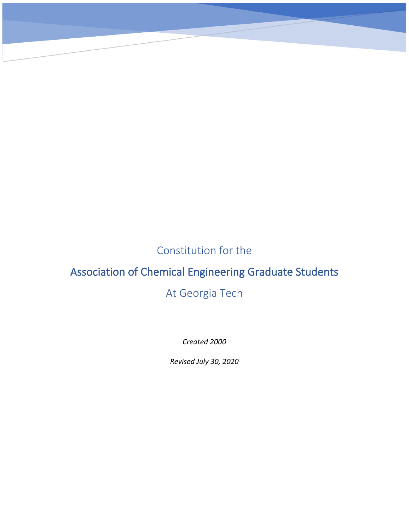Constitution for the

CONSTITUTION FOR THE ASSOCIATION OF CHEMICAL ENGINEERING GRADUATE STUDENTS

# Association of Chemical Engineering Graduate Students

# At Georgia Tech

*Created 2000*

*Revised July 30, 2020*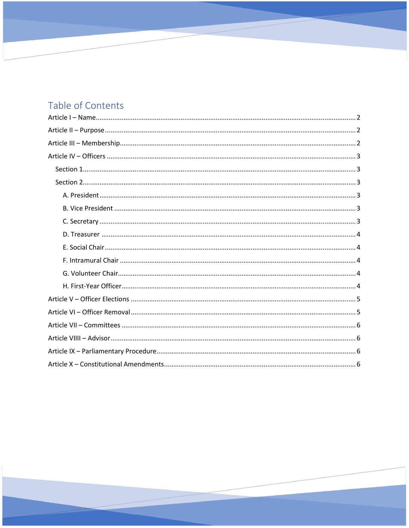# Table of Contents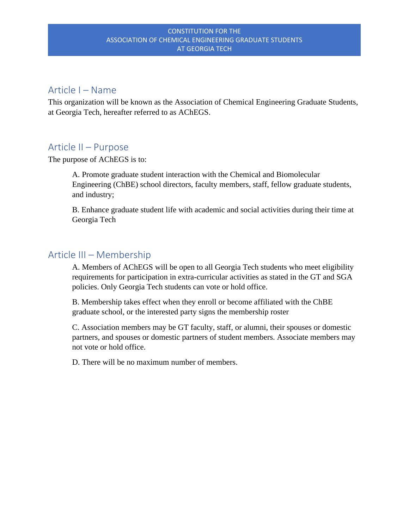### <span id="page-2-0"></span>Article I – Name

This organization will be known as the Association of Chemical Engineering Graduate Students, at Georgia Tech, hereafter referred to as AChEGS.

### <span id="page-2-1"></span>Article II – Purpose

The purpose of AChEGS is to:

A. Promote graduate student interaction with the Chemical and Biomolecular Engineering (ChBE) school directors, faculty members, staff, fellow graduate students, and industry;

B. Enhance graduate student life with academic and social activities during their time at Georgia Tech

## <span id="page-2-2"></span>Article III – Membership

A. Members of AChEGS will be open to all Georgia Tech students who meet eligibility requirements for participation in extra-curricular activities as stated in the GT and SGA policies. Only Georgia Tech students can vote or hold office.

B. Membership takes effect when they enroll or become affiliated with the ChBE graduate school, or the interested party signs the membership roster

C. Association members may be GT faculty, staff, or alumni, their spouses or domestic partners, and spouses or domestic partners of student members. Associate members may not vote or hold office.

D. There will be no maximum number of members.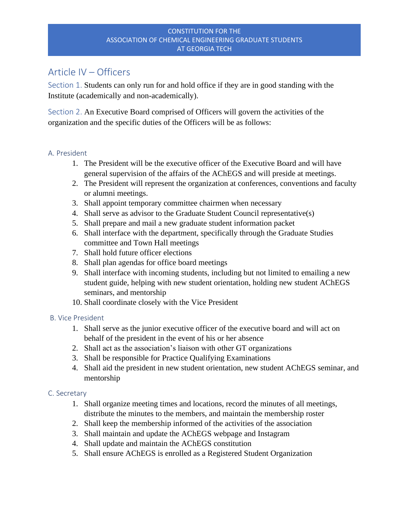# <span id="page-3-0"></span>Article IV – Officers

<span id="page-3-1"></span>Section 1. Students can only run for and hold office if they are in good standing with the Institute (academically and non-academically).

<span id="page-3-2"></span>Section 2. An Executive Board comprised of Officers will govern the activities of the organization and the specific duties of the Officers will be as follows:

#### <span id="page-3-3"></span>A. President

- 1. The President will be the executive officer of the Executive Board and will have general supervision of the affairs of the AChEGS and will preside at meetings.
- 2. The President will represent the organization at conferences, conventions and faculty or alumni meetings.
- 3. Shall appoint temporary committee chairmen when necessary
- 4. Shall serve as advisor to the Graduate Student Council representative(s)
- 5. Shall prepare and mail a new graduate student information packet
- 6. Shall interface with the department, specifically through the Graduate Studies committee and Town Hall meetings
- 7. Shall hold future officer elections
- 8. Shall plan agendas for office board meetings
- 9. Shall interface with incoming students, including but not limited to emailing a new student guide, helping with new student orientation, holding new student AChEGS seminars, and mentorship
- 10. Shall coordinate closely with the Vice President

#### <span id="page-3-4"></span>B. Vice President

- 1. Shall serve as the junior executive officer of the executive board and will act on behalf of the president in the event of his or her absence
- 2. Shall act as the association's liaison with other GT organizations
- 3. Shall be responsible for Practice Qualifying Examinations
- 4. Shall aid the president in new student orientation, new student AChEGS seminar, and mentorship

#### <span id="page-3-5"></span>C. Secretary

- 1. Shall organize meeting times and locations, record the minutes of all meetings, distribute the minutes to the members, and maintain the membership roster
- 2. Shall keep the membership informed of the activities of the association
- 3. Shall maintain and update the AChEGS webpage and Instagram
- 4. Shall update and maintain the AChEGS constitution
- 5. Shall ensure AChEGS is enrolled as a Registered Student Organization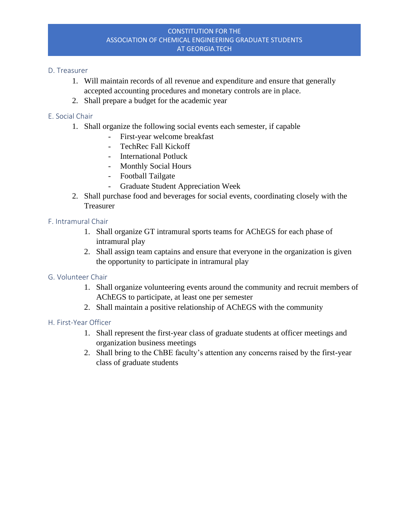#### <span id="page-4-0"></span>D. Treasurer

- 1. Will maintain records of all revenue and expenditure and ensure that generally accepted accounting procedures and monetary controls are in place.
- 2. Shall prepare a budget for the academic year

#### <span id="page-4-1"></span>E. Social Chair

- 1. Shall organize the following social events each semester, if capable
	- First-year welcome breakfast
	- TechRec Fall Kickoff
	- International Potluck
	- Monthly Social Hours
	- Football Tailgate
	- Graduate Student Appreciation Week
- 2. Shall purchase food and beverages for social events, coordinating closely with the Treasurer

#### <span id="page-4-2"></span>F. Intramural Chair

- 1. Shall organize GT intramural sports teams for AChEGS for each phase of intramural play
- 2. Shall assign team captains and ensure that everyone in the organization is given the opportunity to participate in intramural play

#### <span id="page-4-3"></span>G. Volunteer Chair

- 1. Shall organize volunteering events around the community and recruit members of AChEGS to participate, at least one per semester
- 2. Shall maintain a positive relationship of AChEGS with the community

#### <span id="page-4-4"></span>H. First-Year Officer

- 1. Shall represent the first-year class of graduate students at officer meetings and organization business meetings
- 2. Shall bring to the ChBE faculty's attention any concerns raised by the first-year class of graduate students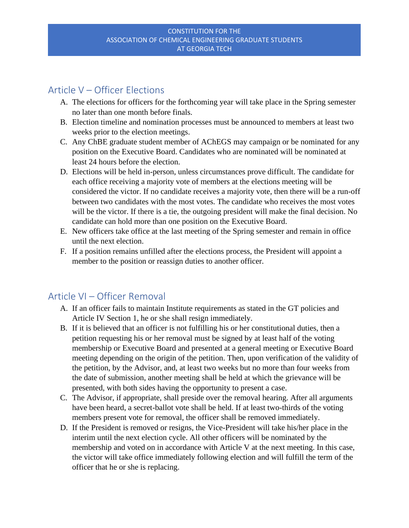## <span id="page-5-0"></span>Article V – Officer Elections

- A. The elections for officers for the forthcoming year will take place in the Spring semester no later than one month before finals.
- B. Election timeline and nomination processes must be announced to members at least two weeks prior to the election meetings.
- C. Any ChBE graduate student member of AChEGS may campaign or be nominated for any position on the Executive Board. Candidates who are nominated will be nominated at least 24 hours before the election.
- D. Elections will be held in-person, unless circumstances prove difficult. The candidate for each office receiving a majority vote of members at the elections meeting will be considered the victor. If no candidate receives a majority vote, then there will be a run-off between two candidates with the most votes. The candidate who receives the most votes will be the victor. If there is a tie, the outgoing president will make the final decision. No candidate can hold more than one position on the Executive Board.
- E. New officers take office at the last meeting of the Spring semester and remain in office until the next election.
- F. If a position remains unfilled after the elections process, the President will appoint a member to the position or reassign duties to another officer.

# <span id="page-5-1"></span>Article VI – Officer Removal

- A. If an officer fails to maintain Institute requirements as stated in the GT policies and Article IV Section 1, he or she shall resign immediately.
- B. If it is believed that an officer is not fulfilling his or her constitutional duties, then a petition requesting his or her removal must be signed by at least half of the voting membership or Executive Board and presented at a general meeting or Executive Board meeting depending on the origin of the petition. Then, upon verification of the validity of the petition, by the Advisor, and, at least two weeks but no more than four weeks from the date of submission, another meeting shall be held at which the grievance will be presented, with both sides having the opportunity to present a case.
- C. The Advisor, if appropriate, shall preside over the removal hearing. After all arguments have been heard, a secret-ballot vote shall be held. If at least two-thirds of the voting members present vote for removal, the officer shall be removed immediately.
- D. If the President is removed or resigns, the Vice-President will take his/her place in the interim until the next election cycle. All other officers will be nominated by the membership and voted on in accordance with Article V at the next meeting. In this case, the victor will take office immediately following election and will fulfill the term of the officer that he or she is replacing.